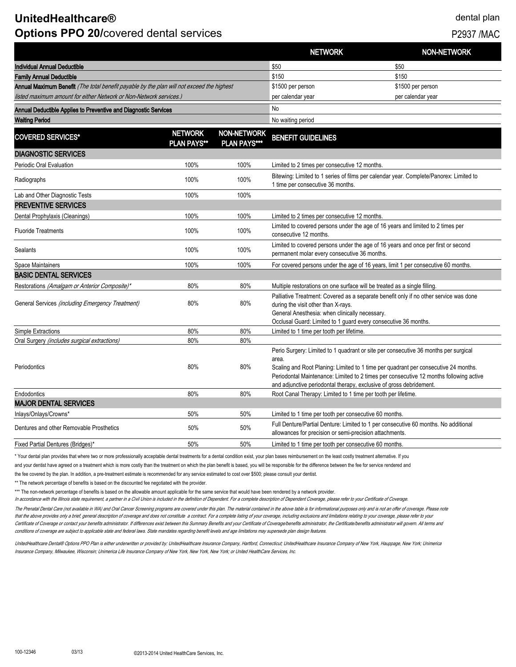# **UnitedHealthcare®** dental plan **Options PPO 20/covered dental services P2937 /MAC**

|                                                                                           |                                      |                                           | <b>NETWORK</b>                                                                                                                                                                                                                                                                                                                                       | <b>NON-NETWORK</b> |
|-------------------------------------------------------------------------------------------|--------------------------------------|-------------------------------------------|------------------------------------------------------------------------------------------------------------------------------------------------------------------------------------------------------------------------------------------------------------------------------------------------------------------------------------------------------|--------------------|
| Individual Annual Deductible                                                              |                                      |                                           | \$50                                                                                                                                                                                                                                                                                                                                                 | \$50               |
| <b>Family Annual Deductible</b>                                                           |                                      |                                           | \$150                                                                                                                                                                                                                                                                                                                                                | \$150              |
| Annual Maximum Benefit (The total benefit payable by the plan will not exceed the highest |                                      |                                           | \$1500 per person                                                                                                                                                                                                                                                                                                                                    | \$1500 per person  |
| listed maximum amount for either Network or Non-Network services.)                        |                                      |                                           | per calendar year                                                                                                                                                                                                                                                                                                                                    | per calendar year  |
| Annual Deductible Applies to Preventive and Diagnostic Services                           |                                      | <b>No</b>                                 |                                                                                                                                                                                                                                                                                                                                                      |                    |
| <b>Waiting Period</b>                                                                     |                                      |                                           | No waiting period                                                                                                                                                                                                                                                                                                                                    |                    |
| <b>COVERED SERVICES*</b>                                                                  | <b>NETWORK</b><br><b>PLAN PAYS**</b> | <b>NON-NETWORK</b><br><b>PLAN PAYS***</b> | <b>BENEFIT GUIDELINES</b>                                                                                                                                                                                                                                                                                                                            |                    |
| <b>DIAGNOSTIC SERVICES</b>                                                                |                                      |                                           |                                                                                                                                                                                                                                                                                                                                                      |                    |
| Periodic Oral Evaluation                                                                  | 100%                                 | 100%                                      | Limited to 2 times per consecutive 12 months.                                                                                                                                                                                                                                                                                                        |                    |
| Radiographs                                                                               | 100%                                 | 100%                                      | Bitewing: Limited to 1 series of films per calendar year. Complete/Panorex: Limited to<br>1 time per consecutive 36 months.                                                                                                                                                                                                                          |                    |
| Lab and Other Diagnostic Tests                                                            | 100%                                 | 100%                                      |                                                                                                                                                                                                                                                                                                                                                      |                    |
| <b>PREVENTIVE SERVICES</b>                                                                |                                      |                                           |                                                                                                                                                                                                                                                                                                                                                      |                    |
| Dental Prophylaxis (Cleanings)                                                            | 100%                                 | 100%                                      | Limited to 2 times per consecutive 12 months.                                                                                                                                                                                                                                                                                                        |                    |
| <b>Fluoride Treatments</b>                                                                | 100%                                 | 100%                                      | Limited to covered persons under the age of 16 years and limited to 2 times per<br>consecutive 12 months.                                                                                                                                                                                                                                            |                    |
| Sealants                                                                                  | 100%                                 | 100%                                      | Limited to covered persons under the age of 16 years and once per first or second<br>permanent molar every consecutive 36 months.                                                                                                                                                                                                                    |                    |
| Space Maintainers                                                                         | 100%                                 | 100%                                      | For covered persons under the age of 16 years, limit 1 per consecutive 60 months.                                                                                                                                                                                                                                                                    |                    |
| <b>BASIC DENTAL SERVICES</b>                                                              |                                      |                                           |                                                                                                                                                                                                                                                                                                                                                      |                    |
| Restorations (Amalgam or Anterior Composite)*                                             | 80%                                  | 80%                                       | Multiple restorations on one surface will be treated as a single filling.                                                                                                                                                                                                                                                                            |                    |
| General Services (including Emergency Treatment)                                          | 80%                                  | 80%                                       | Palliative Treatment: Covered as a separate benefit only if no other service was done<br>during the visit other than X-rays.<br>General Anesthesia: when clinically necessary.<br>Occlusal Guard: Limited to 1 guard every consecutive 36 months.                                                                                                    |                    |
| Simple Extractions                                                                        | 80%                                  | 80%                                       | Limited to 1 time per tooth per lifetime.                                                                                                                                                                                                                                                                                                            |                    |
| Oral Surgery (includes surgical extractions)                                              | 80%                                  | 80%                                       |                                                                                                                                                                                                                                                                                                                                                      |                    |
| Periodontics                                                                              | 80%                                  | 80%                                       | Perio Surgery: Limited to 1 quadrant or site per consecutive 36 months per surgical<br>area.<br>Scaling and Root Planing: Limited to 1 time per quadrant per consecutive 24 months.<br>Periodontal Maintenance: Limited to 2 times per consecutive 12 months following active<br>and adjunctive periodontal therapy, exclusive of gross debridement. |                    |
| Endodontics                                                                               | 80%                                  | 80%                                       | Root Canal Therapy: Limited to 1 time per tooth per lifetime.                                                                                                                                                                                                                                                                                        |                    |
| <b>MAJOR DENTAL SERVICES</b>                                                              |                                      |                                           |                                                                                                                                                                                                                                                                                                                                                      |                    |
| Inlays/Onlays/Crowns*                                                                     | 50%                                  | 50%                                       | Limited to 1 time per tooth per consecutive 60 months.                                                                                                                                                                                                                                                                                               |                    |
| Dentures and other Removable Prosthetics                                                  | 50%                                  | 50%                                       | Full Denture/Partial Denture: Limited to 1 per consecutive 60 months. No additional<br>allowances for precision or semi-precision attachments.                                                                                                                                                                                                       |                    |
| Fixed Partial Dentures (Bridges)*                                                         | 50%                                  | 50%                                       | Limited to 1 time per tooth per consecutive 60 months.                                                                                                                                                                                                                                                                                               |                    |

\* Your dental plan provides that where two or more professionally acceptable dental treatments for a dental condition exist, your plan bases reimbursement on the least costly treatment alternative. If you

and your dentist have agreed on a treatment which is more costly than the treatment on which the plan benefit is based, you will be responsible for the difference between the fee for service rendered and

the fee covered by the plan. In addition, a pre-treatment estimate is recommended for any service estimated to cost over \$500; please consult your dentist.

\*\* The network percentage of benefits is based on the discounted fee negotiated with the provider.

\*\*\* The non-network percentage of benefits is based on the allowable amount applicable for the same service that would have been rendered by a network provider.

In accordance with the Illinois state requirement, a partner in a Civil Union is included in the definition of Dependent. For a complete description of Dependent Coverage, please refer to your Certificate of Coverage.

The Prenatal Dental Care (not available in WA) and Oral Cancer Screening programs are covered under this plan. The material contained in the above table is for informational purposes only and is not an offer of coverage. P that the above provides only a brief, general description of coverage and does not constitute a contract. For a complete listing of your coverage, including exclusions and limitations relating to your coverage, please refe Certificate of Coverage or contact your benefits administrator. If differences exist between this Summary Benefits and your Certificate of Coverage/benefits administrator, the Certificate/benefits administrator will govern conditions of coverage are subject to applicable state and federal laws. State mandates regarding benefit levels and age limitations may supersede plan design features.

UnitedHealthcare Dental® Options PPO Plan is either underwritten or provided by: UnitedHealthcare Insurance Company, Hartford, Connecticut; UnitedHealthcare Insurance Company of New York, Hauppage, New York; Unimerica Insurance Company, Milwaukee, Wisconsin; Unimerica Life Insurance Company of New York, New York, New York; or United HealthCare Services, Inc.